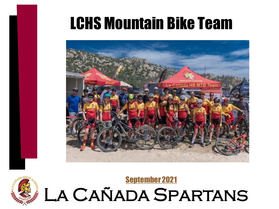#### LCHS Mountain Bike Team





#### La Cañada Spartans [September 2021](https://www.youtube.com/watch?v=IdeBl8GWqvg)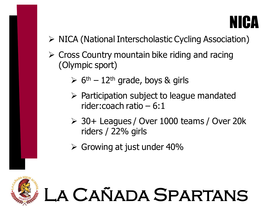#### NICA

- ➢ NICA (National Interscholastic Cycling Association)
- $\triangleright$  Cross Country mountain bike riding and racing (Olympic sport)
	- $\triangleright$  6<sup>th</sup> 12<sup>th</sup> grade, boys & girls
	- $\triangleright$  Participation subject to league mandated rider:coach ratio – 6:1
	- ➢ 30+ Leagues / Over 1000 teams / Over 20k riders / 22% girls

La Cañada Spartans

 $\triangleright$  Growing at just under 40%

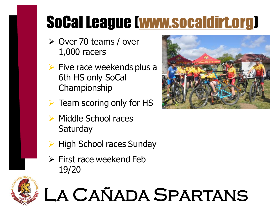## SoCal League ([www.socaldirt.org\)](http://www.socaldirt.org)

- ➢ Over 70 teams / over 1,000 racers
- $\triangleright$  Five race weekends plus a 6th HS only SoCal Championship
- $\triangleright$  Team scoring only for HS
- ➢ Middle School races **Saturday**
- ➢ High School races Sunday
- $\triangleright$  First race weekend Feb 19/20



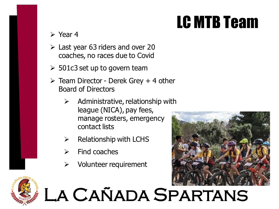### LC MTB Team

➢ Year 4

- $\geq$  Last year 63 riders and over 20 coaches, no races due to Covid
- $\geqslant$  501c3 set up to govern team
- $\triangleright$  Team Director Derek Grey + 4 other Board of Directors
	- $\triangleright$  Administrative, relationship with league (NICA), pay fees, manage rosters, emergency contact lists
	- $\triangleright$  Relationship with LCHS
	- $\triangleright$  Find coaches
	- $\triangleright$  Volunteer requirement



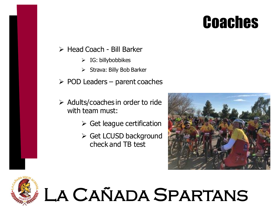#### **Coaches**

#### ➢ Head Coach - Bill Barker

- $\triangleright$  IG: billybobbikes
- ➢ Strava: Billy Bob Barker
- $\triangleright$  POD Leaders parent coaches
- $\triangleright$  Adults/coaches in order to ride with team must:
	- $\triangleright$  Get league certification
	- ➢ Get LCUSD background check and TB test



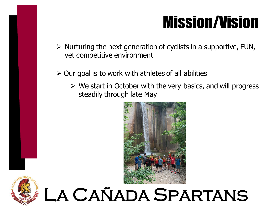#### Mission/Vision

- $\triangleright$  Nurturing the next generation of cyclists in a supportive, FUN, yet competitive environment
- $\geq$  Our goal is to work with athletes of all abilities
	- $\triangleright$  We start in October with the very basics, and will progress steadily through late May



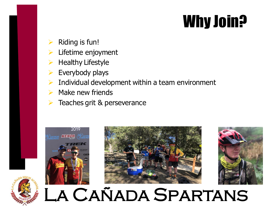#### Why Join?

- Riding is fun!
- Lifetime enjoyment
- **Healthy Lifestyle**
- ➢ Everybody plays
- Individual development within a team environment
- Make new friends
- Teaches grit & perseverance







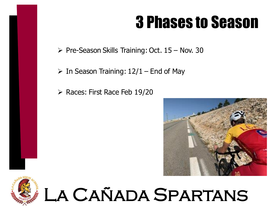#### 3 Phases to Season

 $\triangleright$  Pre-Season Skills Training: Oct. 15 – Nov. 30

 $\triangleright$  In Season Training: 12/1 – End of May

➢ Races: First Race Feb 19/20





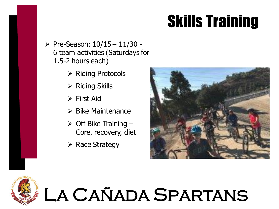### Skills Training

- $\triangleright$  Pre-Season:  $10/15 11/30 -$ 6 team activities (Saturdays for 1.5-2 hours each)
	- ➢ Riding Protocols
	- ➢ Riding Skills
	- ➢ First Aid
	- ➢ Bike Maintenance
	- $\triangleright$  Off Bike Training -Core, recovery, diet
	- ➢ Race Strategy



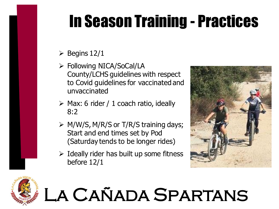## In Season Training - Practices

- $\triangleright$  Begins 12/1
- ➢ Following NICA/SoCal/LA County/LCHS guidelines with respect to Covid guidelines for vaccinated and unvaccinated
- $\triangleright$  Max: 6 rider / 1 coach ratio, ideally 8:2
- ➢ M/W/S, M/R/S or T/R/S training days; Start and end times set by Pod (Saturday tends to be longer rides)
- $\triangleright$  Ideally rider has built up some fitness before 12/1



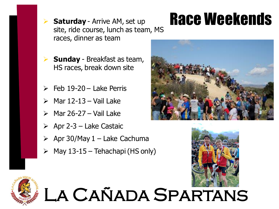site, ride course, lunch as team, MS races, dinner as team

## **Saturday** - Arrive AM, set up **Race Weekends**

- **Sunday** Breakfast as team, HS races, break down site
- ➢ Feb 19-20 Lake Perris
- ➢ Mar 12-13 Vail Lake
- $\triangleright$  Mar 26-27 Vail Lake
- $\triangleright$  Apr 2-3 Lake Castaic
- $\geq$  Apr 30/May 1 Lake Cachuma
- $\triangleright$  May 13-15 Tehachapi (HS only)





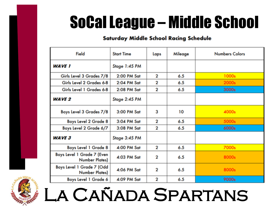### SoCal League – Middle School

#### **Saturday Middle School Racing Schedule**

| Field                                        | <b>Start Time</b> | Laps        | Mileage | <b>Numbers Colors</b> |
|----------------------------------------------|-------------------|-------------|---------|-----------------------|
| <b>WAVE 1</b>                                | Stage 1:45 PM     |             |         |                       |
| Girls Level 3 Grades 7/8                     | 2:00 PM Sat       | 2           | 6.5     | 1000s                 |
| Girls Level 2 Grades 6-8                     | 2:04 PM Sat       | 2           | 6.5     | 2000s                 |
| Girls Level 1 Grades 6-8                     | 2:08 PM Sat       | 2           | 6.5     | 3000s                 |
| <b>WAVE 2</b>                                | Stage 2:45 PM     |             |         |                       |
| Boys Level 3 Grades 7/8                      | 3:00 PM Sat       | 3           | 10      | 4000s                 |
| Boys Level 2 Grade 8                         | 3:04 PM Sat       | 2           | 6.5     | 5000s                 |
| Boys Level 2 Grade 6/7                       | 3:08 PM Sat       | 2           | 6.5     | 6000s                 |
| <b>WAVE 3</b>                                | Stage 3:45 PM     |             |         |                       |
| Boys Level 1 Grade 8                         | 4:00 PM Sat       | $\mathbf 2$ | 6.5     | 7000s                 |
| Boys Level 1 Grade 7 (Even<br>Number Plates) | 4:03 PM Sat       | 2           | 6.5     | 8000s                 |
| Boys Level 1 Grade 7 (Odd<br>Number Plates)  | 4:06 PM Sat       | 2           | 6.5     | 8000s                 |
| Boys Level 1 Grade 6                         | 4:09 PM Sat       | $\mathbf 2$ | 6.5     | 9000s                 |

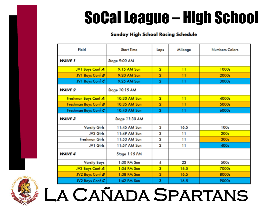### SoCal League – High School

#### **Sunday High School Racing Schedule**

| Field                 | <b>Start Time</b> | Laps           | Mileage         | <b>Numbers Colors</b> |
|-----------------------|-------------------|----------------|-----------------|-----------------------|
| <b>WAVE 1</b>         | Stage 9:00 AM     |                |                 |                       |
| JV1 Boys Conf A       | 9:15 AM Sun       | $\overline{2}$ | $\overline{11}$ | 1000s                 |
| JV1 Boys Conf B       | 9:20 AM Sun       | $\overline{2}$ | $\overline{11}$ | 2000s                 |
| JV1 Boys Conf C       | 9:25 AM Sun       | $\overline{2}$ | 11              | 3000s                 |
| <b>WAVE 2</b>         | Stage 10:15 AM    |                |                 |                       |
| Freshman Boys Conf A  | 10:30 AM Sun      | $\overline{2}$ | 11              | 4000s                 |
| Freshman Boys Conf B  | 10:35 AM Sun      | $\overline{2}$ | $\overline{11}$ | 5000s                 |
| Freshman Boys Conf C  | 10:40 AM Sun      | $\overline{2}$ | Ħ               | 6000s                 |
| <b>WAVE 3</b>         | Stage 11:30 AM    |                |                 |                       |
| <b>Varsity Girls</b>  | 11:45 AM Sun      | 3              | 16.5            | 100s                  |
| JV2 Girls             | 11:49 AM Sun      | 2              | 11              | 200s                  |
| <b>Freshman Girls</b> | 11:53 AM Sun      | 2              | 11              | 300s                  |
| JV1 Girls             | 11:57 AM Sun      | 2              | 11              | 400s                  |
| <b>WAVE 4</b>         | Stage 1:15 PM     |                |                 |                       |
| <b>Varsity Boys</b>   | 1:30 PM Sun       | 4              | 22              | 500s                  |
| JV2 Boys Conf A       | 1:34 PM Sun       | 3              | 16.5            | 7000s                 |
| JV2 Boys Conf B       | 1:38 PM Sun       | 3              | 16.5            | 8000s                 |
| JV2 Boys Conf C       | 1:42 PM Sun       | 3              | 16.5            | 9000s                 |

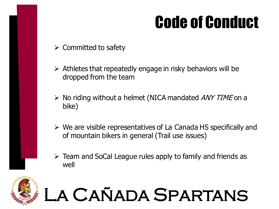### Code of Conduct

- $\triangleright$  Committed to safety
- $\triangleright$  Athletes that repeatedly engage in risky behaviors will be dropped from the team
- $\triangleright$  No riding without a helmet (NICA mandated ANY TIME on a bike)
- $\triangleright$  We are visible representatives of La Canada HS specifically and of mountain bikers in general (Trail use issues)



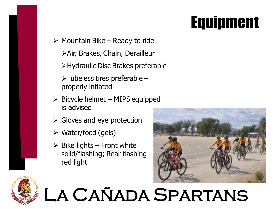### Equipment

- $\triangleright$  Mountain Bike Ready to ride
	- ➢Air, Brakes, Chain, Derailleur
	- ➢Hydraulic Disc Brakes preferable
	- $\triangleright$  Tubeless tires preferable properly inflated
- $\triangleright$  Bicycle helmet MIPS equipped is advised
- $\triangleright$  Gloves and eye protection
- $\triangleright$  Water/food (gels)
- $\triangleright$  Bike lights Front white solid/flashing; Rear flashing red light



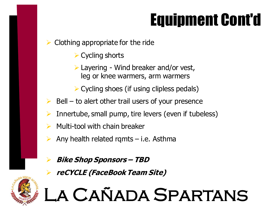## Equipment Cont'd

➢ Clothing appropriate for the ride

- ➢ Cycling shorts
- $\triangleright$  Layering Wind breaker and/or vest, leg or knee warmers, arm warmers
- $\triangleright$  Cycling shoes (if using clipless pedals)
- $Bell -$  to alert other trail users of your presence
- Innertube, small pump, tire levers (even if tubeless)
- ➢ Multi-tool with chain breaker
- ➢ Any health related rqmts i.e. Asthma
	- ➢ **Bike Shop Sponsors – TBD**
	- ➢ **reCYCLE (FaceBook Team Site)**

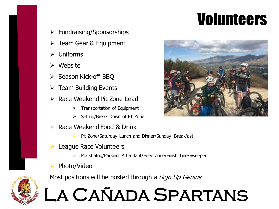### Volunteers

- $\triangleright$  Fundraising/Sponsorships
- ➢ Team Gear & Equipment
- ➢ Uniforms
- **Website**
- ➢ Season Kick-off BBQ
- $\triangleright$  Team Building Events
- ➢ Race Weekend Pit Zone Lead
	- $\triangleright$  Transportation of Equipment
	- ➢ Set up/Break Down of Pit Zone
- ➢ Race Weekend Food & Drink
	- ➢ Pit Zone/Saturday Lunch and Dinner/Sunday Breakfast
- ➢ League Race Volunteers
	- Marshaling/Parking Attendant/Feed Zone/Finish Line/Sweeper
- ➢ Photo/Video

Most positions will be posted through a *Sign Up Genius* 



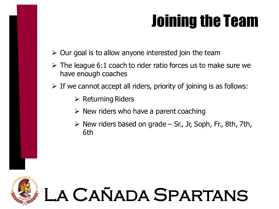### Joining the Team

- $\triangleright$  Our goal is to allow anyone interested join the team
- $\triangleright$  The league 6:1 coach to rider ratio forces us to make sure we have enough coaches
- $\triangleright$  If we cannot accept all riders, priority of joining is as follows:
	- ➢ Returning Riders
	- $\triangleright$  New riders who have a parent coaching
	- $\triangleright$  New riders based on grade Sr., Jr, Soph, Fr., 8th, 7th, 6th

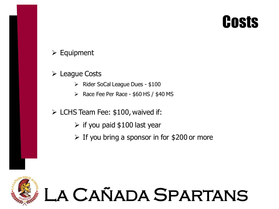#### **Costs**

#### ➢ Equipment

#### ➢ League Costs

- $\triangleright$  Rider SoCal League Dues \$100
- $\triangleright$  Race Fee Per Race \$60 HS / \$40 MS

#### $\triangleright$  LCHS Team Fee: \$100, waived if:

- $\triangleright$  if you paid \$100 last year
- $\triangleright$  If you bring a sponsor in for \$200 or more

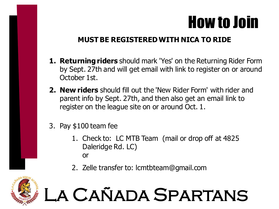#### How to Join

#### **MUST BE REGISTERED WITH NICA TO RIDE**

- **1. Returning riders** should mark 'Yes' on the Returning Rider Form by Sept. 27th and will get email with link to register on or around October 1st.
- **2. New riders** should fill out the 'New Rider Form' with rider and parent info by Sept. 27th, and then also get an email link to register on the league site on or around Oct. 1.
- 3. Pay \$100 team fee
	- 1. Check to: LC MTB Team (mail or drop off at 4825 Daleridge Rd. LC) or
	- 2. Zelle transfer to: lcmtbteam@gmail.com

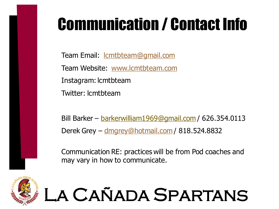## Communication / Contact Info

Team Email: <u>Icmtbteam@gmail.com</u> Team Website: [www.lcmtbteam.com](http://www.lcmtbteam.com) Instagram: lcmtbteam Twitter: lcmtbteam

Bill Barker – [barkerwilliam1969@gmail.com](mailto:barkerwilliam1969@gmail.com) / 626.354.0113 Derek Grey – [dmgrey@hotmail.com](mailto:dmgrey@hotmail.com) / 818.524.8832

Communication RE: practices will be from Pod coaches and may vary in how to communicate.